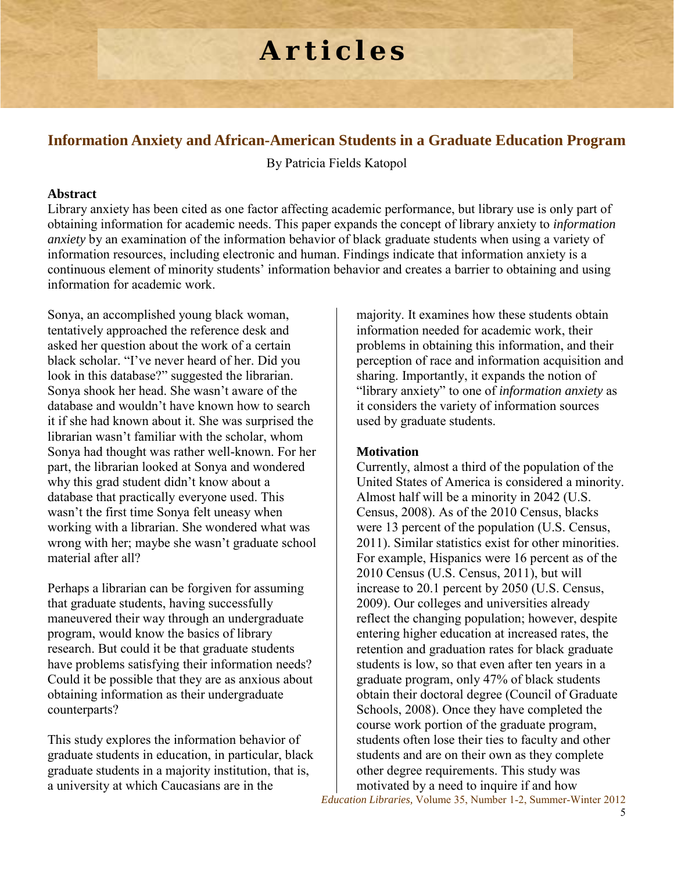# **Articles**

# **Information Anxiety and African-American Students in a Graduate Education Program**

By Patricia Fields Katopol

# **Abstract**

Library anxiety has been cited as one factor affecting academic performance, but library use is only part of obtaining information for academic needs. This paper expands the concept of library anxiety to *information anxiety* by an examination of the information behavior of black graduate students when using a variety of information resources, including electronic and human. Findings indicate that information anxiety is a continuous element of minority students' information behavior and creates a barrier to obtaining and using information for academic work.

Sonya, an accomplished young black woman, tentatively approached the reference desk and asked her question about the work of a certain black scholar. "I've never heard of her. Did you look in this database?" suggested the librarian. Sonya shook her head. She wasn't aware of the database and wouldn't have known how to search it if she had known about it. She was surprised the librarian wasn't familiar with the scholar, whom Sonya had thought was rather well-known. For her part, the librarian looked at Sonya and wondered why this grad student didn't know about a database that practically everyone used. This wasn't the first time Sonya felt uneasy when working with a librarian. She wondered what was wrong with her; maybe she wasn't graduate school material after all?

Perhaps a librarian can be forgiven for assuming that graduate students, having successfully maneuvered their way through an undergraduate program, would know the basics of library research. But could it be that graduate students have problems satisfying their information needs? Could it be possible that they are as anxious about obtaining information as their undergraduate counterparts?

This study explores the information behavior of graduate students in education, in particular, black graduate students in a majority institution, that is, a university at which Caucasians are in the

majority. It examines how these students obtain information needed for academic work, their problems in obtaining this information, and their perception of race and information acquisition and sharing. Importantly, it expands the notion of "library anxiety" to one of *information anxiety* as it considers the variety of information sources used by graduate students.

# **Motivation**

Currently, almost a third of the population of the United States of America is considered a minority. Almost half will be a minority in 2042 (U.S. Census, 2008). As of the 2010 Census, blacks were 13 percent of the population (U.S. Census, 2011). Similar statistics exist for other minorities. For example, Hispanics were 16 percent as of the 2010 Census (U.S. Census, 2011), but will increase to 20.1 percent by 2050 (U.S. Census, 2009). Our colleges and universities already reflect the changing population; however, despite entering higher education at increased rates, the retention and graduation rates for black graduate students is low, so that even after ten years in a graduate program, only 47% of black students obtain their doctoral degree (Council of Graduate Schools, 2008). Once they have completed the course work portion of the graduate program, students often lose their ties to faculty and other students and are on their own as they complete other degree requirements. This study was motivated by a need to inquire if and how

*Education Libraries,* Volume 35, Number 1-2, Summer-Winter 2012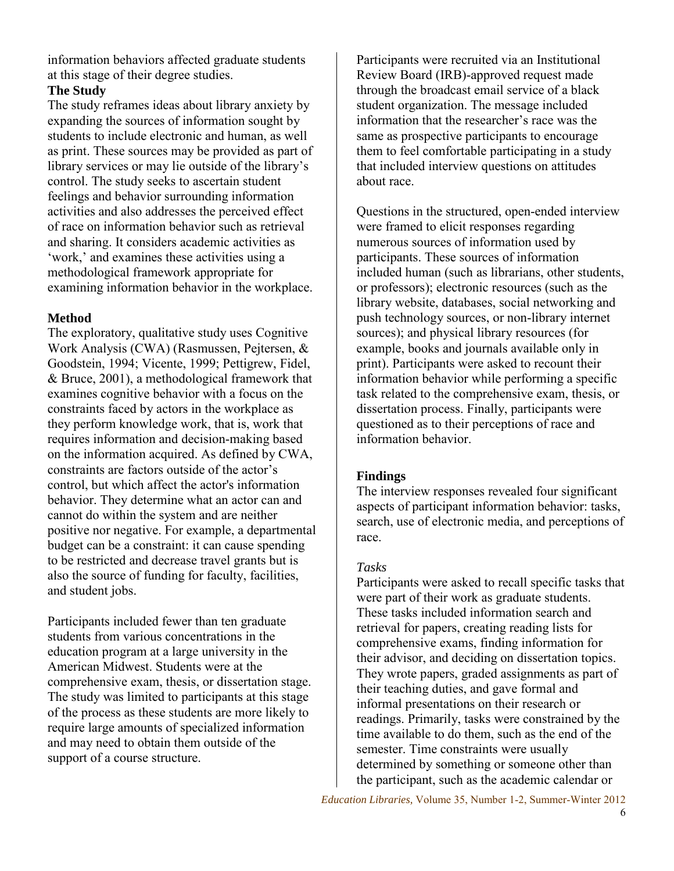information behaviors affected graduate students at this stage of their degree studies.

# **The Study**

The study reframes ideas about library anxiety by expanding the sources of information sought by students to include electronic and human, as well as print. These sources may be provided as part of library services or may lie outside of the library's control. The study seeks to ascertain student feelings and behavior surrounding information activities and also addresses the perceived effect of race on information behavior such as retrieval and sharing. It considers academic activities as 'work,' and examines these activities using a methodological framework appropriate for examining information behavior in the workplace.

# **Method**

The exploratory, qualitative study uses Cognitive Work Analysis (CWA) (Rasmussen, Pejtersen, & Goodstein, 1994; Vicente, 1999; Pettigrew, Fidel, & Bruce, 2001), a methodological framework that examines cognitive behavior with a focus on the constraints faced by actors in the workplace as they perform knowledge work, that is, work that requires information and decision-making based on the information acquired. As defined by CWA, constraints are factors outside of the actor's control, but which affect the actor's information behavior. They determine what an actor can and cannot do within the system and are neither positive nor negative. For example, a departmental budget can be a constraint: it can cause spending to be restricted and decrease travel grants but is also the source of funding for faculty, facilities, and student jobs.

Participants included fewer than ten graduate students from various concentrations in the education program at a large university in the American Midwest. Students were at the comprehensive exam, thesis, or dissertation stage. The study was limited to participants at this stage of the process as these students are more likely to require large amounts of specialized information and may need to obtain them outside of the support of a course structure.

Participants were recruited via an Institutional Review Board (IRB)-approved request made through the broadcast email service of a black student organization. The message included information that the researcher's race was the same as prospective participants to encourage them to feel comfortable participating in a study that included interview questions on attitudes about race.

Questions in the structured, open-ended interview were framed to elicit responses regarding numerous sources of information used by participants. These sources of information included human (such as librarians, other students, or professors); electronic resources (such as the library website, databases, social networking and push technology sources, or non-library internet sources); and physical library resources (for example, books and journals available only in print). Participants were asked to recount their information behavior while performing a specific task related to the comprehensive exam, thesis, or dissertation process. Finally, participants were questioned as to their perceptions of race and information behavior.

# **Findings**

The interview responses revealed four significant aspects of participant information behavior: tasks, search, use of electronic media, and perceptions of race.

#### *Tasks*

Participants were asked to recall specific tasks that were part of their work as graduate students. These tasks included information search and retrieval for papers, creating reading lists for comprehensive exams, finding information for their advisor, and deciding on dissertation topics. They wrote papers, graded assignments as part of their teaching duties, and gave formal and informal presentations on their research or readings. Primarily, tasks were constrained by the time available to do them, such as the end of the semester. Time constraints were usually determined by something or someone other than the participant, such as the academic calendar or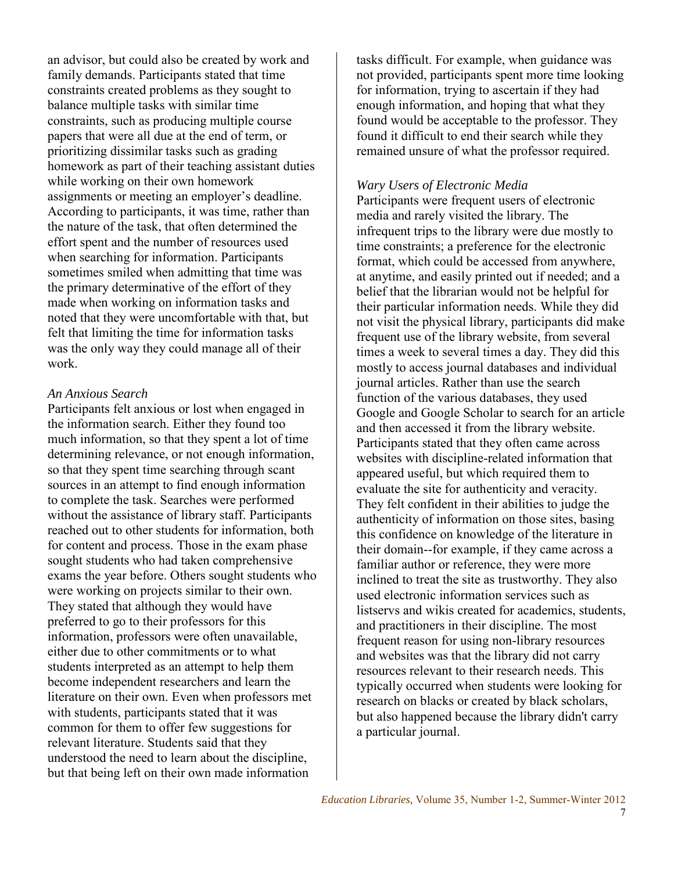an advisor, but could also be created by work and family demands. Participants stated that time constraints created problems as they sought to balance multiple tasks with similar time constraints, such as producing multiple course papers that were all due at the end of term, or prioritizing dissimilar tasks such as grading homework as part of their teaching assistant duties while working on their own homework assignments or meeting an employer's deadline. According to participants, it was time, rather than the nature of the task, that often determined the effort spent and the number of resources used when searching for information. Participants sometimes smiled when admitting that time was the primary determinative of the effort of they made when working on information tasks and noted that they were uncomfortable with that, but felt that limiting the time for information tasks was the only way they could manage all of their work.

#### *An Anxious Search*

Participants felt anxious or lost when engaged in the information search. Either they found too much information, so that they spent a lot of time determining relevance, or not enough information, so that they spent time searching through scant sources in an attempt to find enough information to complete the task. Searches were performed without the assistance of library staff. Participants reached out to other students for information, both for content and process. Those in the exam phase sought students who had taken comprehensive exams the year before. Others sought students who were working on projects similar to their own. They stated that although they would have preferred to go to their professors for this information, professors were often unavailable, either due to other commitments or to what students interpreted as an attempt to help them become independent researchers and learn the literature on their own. Even when professors met with students, participants stated that it was common for them to offer few suggestions for relevant literature. Students said that they understood the need to learn about the discipline, but that being left on their own made information

tasks difficult. For example, when guidance was not provided, participants spent more time looking for information, trying to ascertain if they had enough information, and hoping that what they found would be acceptable to the professor. They found it difficult to end their search while they remained unsure of what the professor required.

#### *Wary Users of Electronic Media*

Participants were frequent users of electronic media and rarely visited the library. The infrequent trips to the library were due mostly to time constraints; a preference for the electronic format, which could be accessed from anywhere, at anytime, and easily printed out if needed; and a belief that the librarian would not be helpful for their particular information needs. While they did not visit the physical library, participants did make frequent use of the library website, from several times a week to several times a day. They did this mostly to access journal databases and individual journal articles. Rather than use the search function of the various databases, they used Google and Google Scholar to search for an article and then accessed it from the library website. Participants stated that they often came across websites with discipline-related information that appeared useful, but which required them to evaluate the site for authenticity and veracity. They felt confident in their abilities to judge the authenticity of information on those sites, basing this confidence on knowledge of the literature in their domain--for example, if they came across a familiar author or reference, they were more inclined to treat the site as trustworthy. They also used electronic information services such as listservs and wikis created for academics, students, and practitioners in their discipline. The most frequent reason for using non-library resources and websites was that the library did not carry resources relevant to their research needs. This typically occurred when students were looking for research on blacks or created by black scholars, but also happened because the library didn't carry a particular journal.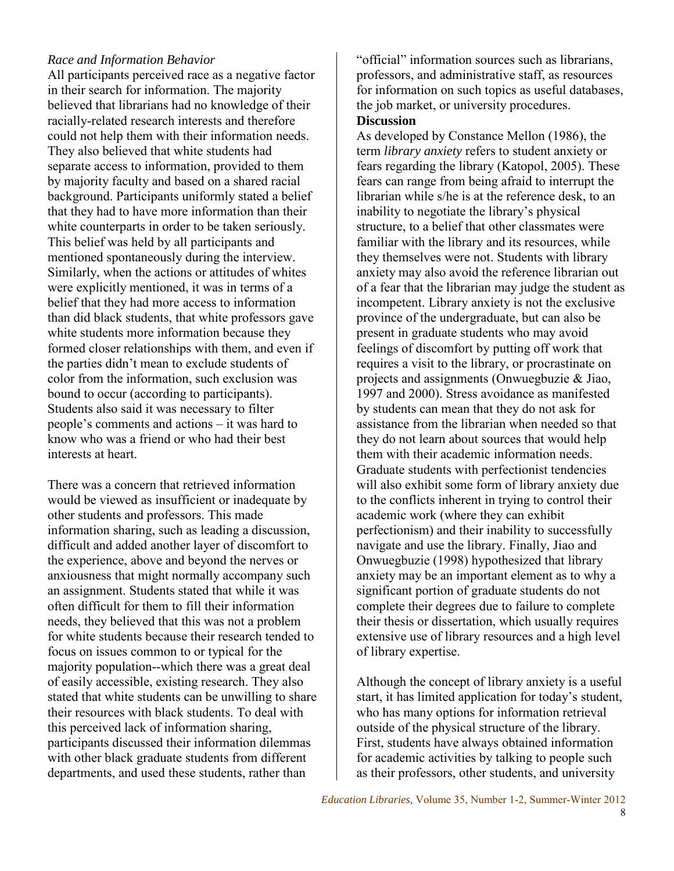# *Race and Information Behavior*

All participants perceived race as a negative factor in their search for information. The majority believed that librarians had no knowledge of their racially-related research interests and therefore could not help them with their information needs. They also believed that white students had separate access to information, provided to them by majority faculty and based on a shared racial background. Participants uniformly stated a belief that they had to have more information than their white counterparts in order to be taken seriously. This belief was held by all participants and mentioned spontaneously during the interview. Similarly, when the actions or attitudes of whites were explicitly mentioned, it was in terms of a belief that they had more access to information than did black students, that white professors gave white students more information because they formed closer relationships with them, and even if the parties didn't mean to exclude students of color from the information, such exclusion was bound to occur (according to participants). Students also said it was necessary to filter people's comments and actions – it was hard to know who was a friend or who had their best interests at heart.

There was a concern that retrieved information would be viewed as insufficient or inadequate by other students and professors. This made information sharing, such as leading a discussion, difficult and added another layer of discomfort to the experience, above and beyond the nerves or anxiousness that might normally accompany such an assignment. Students stated that while it was often difficult for them to fill their information needs, they believed that this was not a problem for white students because their research tended to focus on issues common to or typical for the majority population--which there was a great deal of easily accessible, existing research. They also stated that white students can be unwilling to share their resources with black students. To deal with this perceived lack of information sharing, participants discussed their information dilemmas with other black graduate students from different departments, and used these students, rather than

"official" information sources such as librarians, professors, and administrative staff, as resources for information on such topics as useful databases, the job market, or university procedures. **Discussion**

As developed by Constance Mellon (1986), the term *library anxiety* refers to student anxiety or fears regarding the library (Katopol, 2005). These fears can range from being afraid to interrupt the librarian while s/he is at the reference desk, to an inability to negotiate the library's physical structure, to a belief that other classmates were familiar with the library and its resources, while they themselves were not. Students with library anxiety may also avoid the reference librarian out of a fear that the librarian may judge the student as incompetent. Library anxiety is not the exclusive province of the undergraduate, but can also be present in graduate students who may avoid feelings of discomfort by putting off work that requires a visit to the library, or procrastinate on projects and assignments (Onwuegbuzie & Jiao, 1997 and 2000). Stress avoidance as manifested by students can mean that they do not ask for assistance from the librarian when needed so that they do not learn about sources that would help them with their academic information needs. Graduate students with perfectionist tendencies will also exhibit some form of library anxiety due to the conflicts inherent in trying to control their academic work (where they can exhibit perfectionism) and their inability to successfully navigate and use the library. Finally, Jiao and Onwuegbuzie (1998) hypothesized that library anxiety may be an important element as to why a significant portion of graduate students do not complete their degrees due to failure to complete their thesis or dissertation, which usually requires extensive use of library resources and a high level of library expertise.

Although the concept of library anxiety is a useful start, it has limited application for today's student, who has many options for information retrieval outside of the physical structure of the library. First, students have always obtained information for academic activities by talking to people such as their professors, other students, and university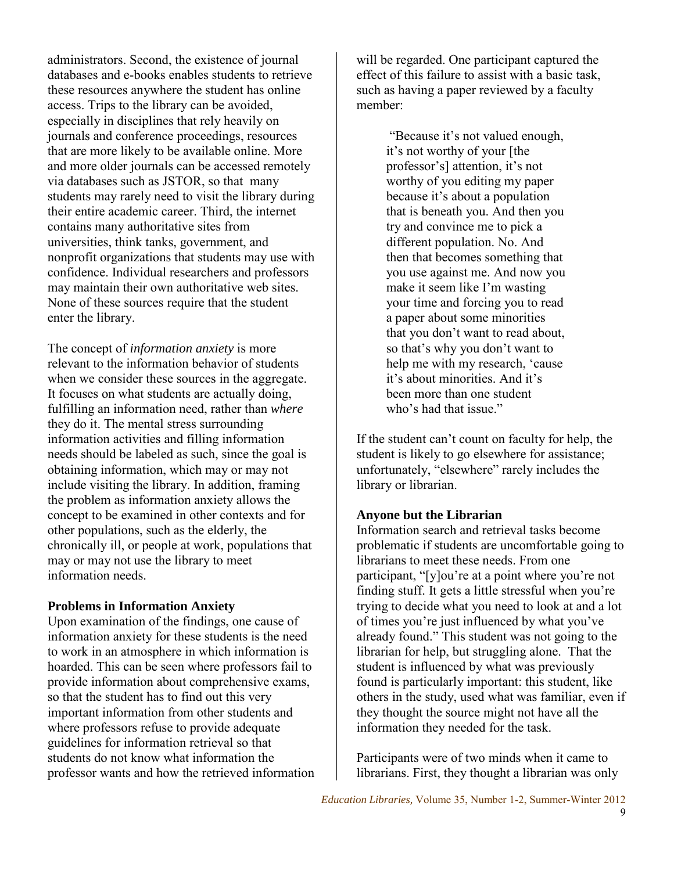administrators. Second, the existence of journal databases and e-books enables students to retrieve these resources anywhere the student has online access. Trips to the library can be avoided, especially in disciplines that rely heavily on journals and conference proceedings, resources that are more likely to be available online. More and more older journals can be accessed remotely via databases such as JSTOR, so that many students may rarely need to visit the library during their entire academic career. Third, the internet contains many authoritative sites from universities, think tanks, government, and nonprofit organizations that students may use with confidence. Individual researchers and professors may maintain their own authoritative web sites. None of these sources require that the student enter the library.

The concept of *information anxiety* is more relevant to the information behavior of students when we consider these sources in the aggregate. It focuses on what students are actually doing, fulfilling an information need, rather than *where* they do it. The mental stress surrounding information activities and filling information needs should be labeled as such, since the goal is obtaining information, which may or may not include visiting the library. In addition, framing the problem as information anxiety allows the concept to be examined in other contexts and for other populations, such as the elderly, the chronically ill, or people at work, populations that may or may not use the library to meet information needs.

#### **Problems in Information Anxiety**

Upon examination of the findings, one cause of information anxiety for these students is the need to work in an atmosphere in which information is hoarded. This can be seen where professors fail to provide information about comprehensive exams, so that the student has to find out this very important information from other students and where professors refuse to provide adequate guidelines for information retrieval so that students do not know what information the professor wants and how the retrieved information will be regarded. One participant captured the effect of this failure to assist with a basic task, such as having a paper reviewed by a faculty member:

> "Because it's not valued enough, it's not worthy of your [the professor's] attention, it's not worthy of you editing my paper because it's about a population that is beneath you. And then you try and convince me to pick a different population. No. And then that becomes something that you use against me. And now you make it seem like I'm wasting your time and forcing you to read a paper about some minorities that you don't want to read about, so that's why you don't want to help me with my research, 'cause it's about minorities. And it's been more than one student who's had that issue."

If the student can't count on faculty for help, the student is likely to go elsewhere for assistance; unfortunately, "elsewhere" rarely includes the library or librarian.

# **Anyone but the Librarian**

Information search and retrieval tasks become problematic if students are uncomfortable going to librarians to meet these needs. From one participant, "[y]ou're at a point where you're not finding stuff. It gets a little stressful when you're trying to decide what you need to look at and a lot of times you're just influenced by what you've already found." This student was not going to the librarian for help, but struggling alone. That the student is influenced by what was previously found is particularly important: this student, like others in the study, used what was familiar, even if they thought the source might not have all the information they needed for the task.

Participants were of two minds when it came to librarians. First, they thought a librarian was only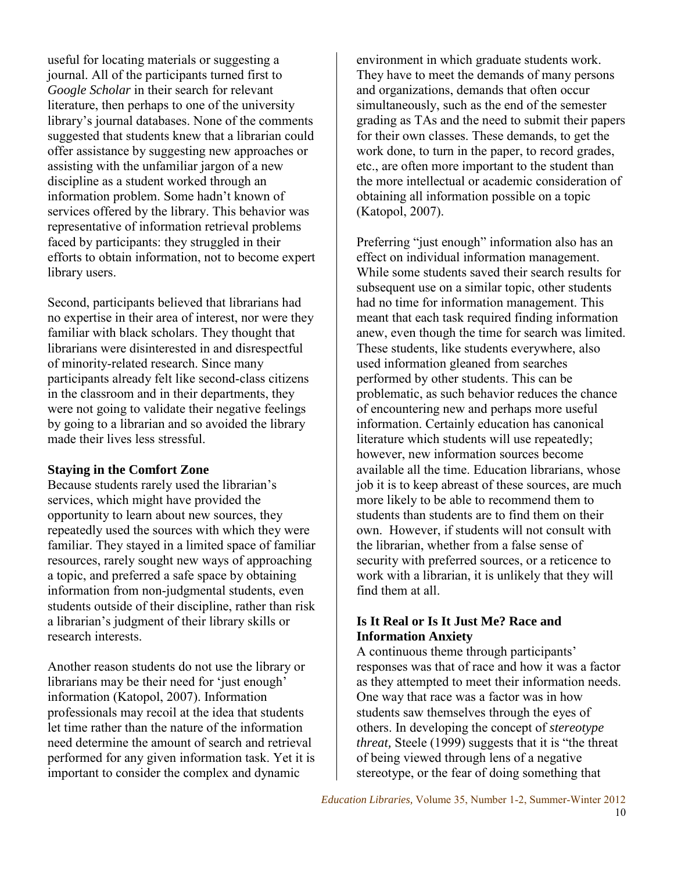useful for locating materials or suggesting a journal. All of the participants turned first to *Google Scholar* in their search for relevant literature, then perhaps to one of the university library's journal databases. None of the comments suggested that students knew that a librarian could offer assistance by suggesting new approaches or assisting with the unfamiliar jargon of a new discipline as a student worked through an information problem. Some hadn't known of services offered by the library. This behavior was representative of information retrieval problems faced by participants: they struggled in their efforts to obtain information, not to become expert library users.

Second, participants believed that librarians had no expertise in their area of interest, nor were they familiar with black scholars. They thought that librarians were disinterested in and disrespectful of minority-related research. Since many participants already felt like second-class citizens in the classroom and in their departments, they were not going to validate their negative feelings by going to a librarian and so avoided the library made their lives less stressful.

#### **Staying in the Comfort Zone**

Because students rarely used the librarian's services, which might have provided the opportunity to learn about new sources, they repeatedly used the sources with which they were familiar. They stayed in a limited space of familiar resources, rarely sought new ways of approaching a topic, and preferred a safe space by obtaining information from non-judgmental students, even students outside of their discipline, rather than risk a librarian's judgment of their library skills or research interests.

Another reason students do not use the library or librarians may be their need for 'just enough' information (Katopol, 2007). Information professionals may recoil at the idea that students let time rather than the nature of the information need determine the amount of search and retrieval performed for any given information task. Yet it is important to consider the complex and dynamic

environment in which graduate students work. They have to meet the demands of many persons and organizations, demands that often occur simultaneously, such as the end of the semester grading as TAs and the need to submit their papers for their own classes. These demands, to get the work done, to turn in the paper, to record grades, etc., are often more important to the student than the more intellectual or academic consideration of obtaining all information possible on a topic (Katopol, 2007).

Preferring "just enough" information also has an effect on individual information management. While some students saved their search results for subsequent use on a similar topic, other students had no time for information management. This meant that each task required finding information anew, even though the time for search was limited. These students, like students everywhere, also used information gleaned from searches performed by other students. This can be problematic, as such behavior reduces the chance of encountering new and perhaps more useful information. Certainly education has canonical literature which students will use repeatedly; however, new information sources become available all the time. Education librarians, whose job it is to keep abreast of these sources, are much more likely to be able to recommend them to students than students are to find them on their own. However, if students will not consult with the librarian, whether from a false sense of security with preferred sources, or a reticence to work with a librarian, it is unlikely that they will find them at all.

# **Is It Real or Is It Just Me? Race and Information Anxiety**

A continuous theme through participants' responses was that of race and how it was a factor as they attempted to meet their information needs. One way that race was a factor was in how students saw themselves through the eyes of others. In developing the concept of *stereotype threat,* Steele (1999) suggests that it is "the threat of being viewed through lens of a negative stereotype, or the fear of doing something that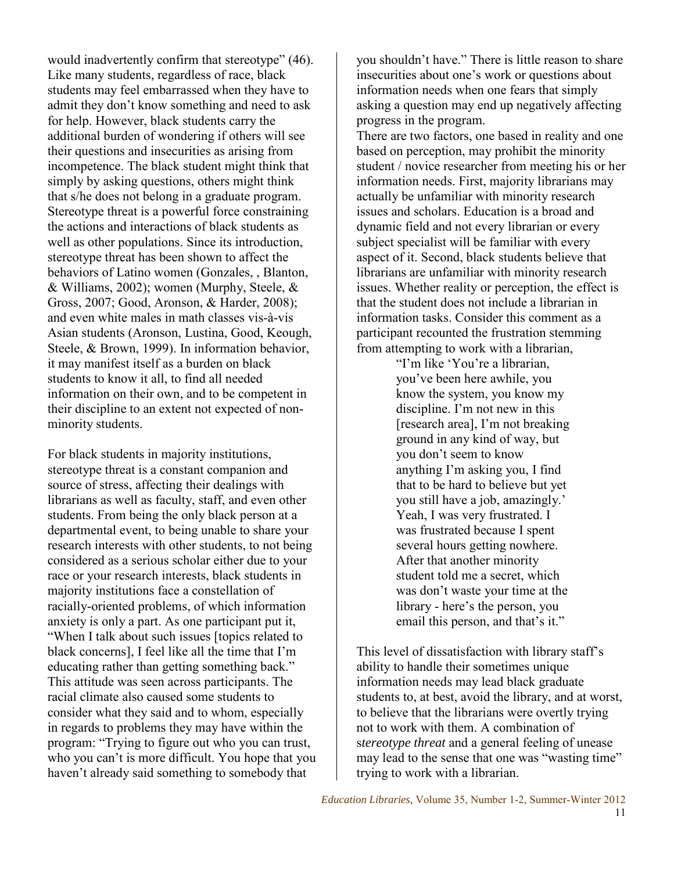would inadvertently confirm that stereotype" (46). Like many students, regardless of race, black students may feel embarrassed when they have to admit they don't know something and need to ask for help. However, black students carry the additional burden of wondering if others will see their questions and insecurities as arising from incompetence. The black student might think that simply by asking questions, others might think that s/he does not belong in a graduate program. Stereotype threat is a powerful force constraining the actions and interactions of black students as well as other populations. Since its introduction, stereotype threat has been shown to affect the behaviors of Latino women (Gonzales, , Blanton, & Williams, 2002); women (Murphy, Steele, & Gross, 2007; Good, Aronson, & Harder, 2008); and even white males in math classes vis-à-vis Asian students (Aronson, Lustina, Good, Keough, Steele, & Brown, 1999). In information behavior, it may manifest itself as a burden on black students to know it all, to find all needed information on their own, and to be competent in their discipline to an extent not expected of nonminority students.

For black students in majority institutions, stereotype threat is a constant companion and source of stress, affecting their dealings with librarians as well as faculty, staff, and even other students. From being the only black person at a departmental event, to being unable to share your research interests with other students, to not being considered as a serious scholar either due to your race or your research interests, black students in majority institutions face a constellation of racially-oriented problems, of which information anxiety is only a part. As one participant put it, "When I talk about such issues [topics related to black concerns], I feel like all the time that I'm educating rather than getting something back." This attitude was seen across participants. The racial climate also caused some students to consider what they said and to whom, especially in regards to problems they may have within the program: "Trying to figure out who you can trust, who you can't is more difficult. You hope that you haven't already said something to somebody that

you shouldn't have." There is little reason to share insecurities about one's work or questions about information needs when one fears that simply asking a question may end up negatively affecting progress in the program.

There are two factors, one based in reality and one based on perception, may prohibit the minority student / novice researcher from meeting his or her information needs. First, majority librarians may actually be unfamiliar with minority research issues and scholars. Education is a broad and dynamic field and not every librarian or every subject specialist will be familiar with every aspect of it. Second, black students believe that librarians are unfamiliar with minority research issues. Whether reality or perception, the effect is that the student does not include a librarian in information tasks. Consider this comment as a participant recounted the frustration stemming from attempting to work with a librarian,

> "I'm like 'You're a librarian, you've been here awhile, you know the system, you know my discipline. I'm not new in this [research area], I'm not breaking ground in any kind of way, but you don't seem to know anything I'm asking you, I find that to be hard to believe but yet you still have a job, amazingly.' Yeah, I was very frustrated. I was frustrated because I spent several hours getting nowhere. After that another minority student told me a secret, which was don't waste your time at the library - here's the person, you email this person, and that's it."

This level of dissatisfaction with library staff's ability to handle their sometimes unique information needs may lead black graduate students to, at best, avoid the library, and at worst, to believe that the librarians were overtly trying not to work with them. A combination of s*tereotype threat* and a general feeling of unease may lead to the sense that one was "wasting time" trying to work with a librarian.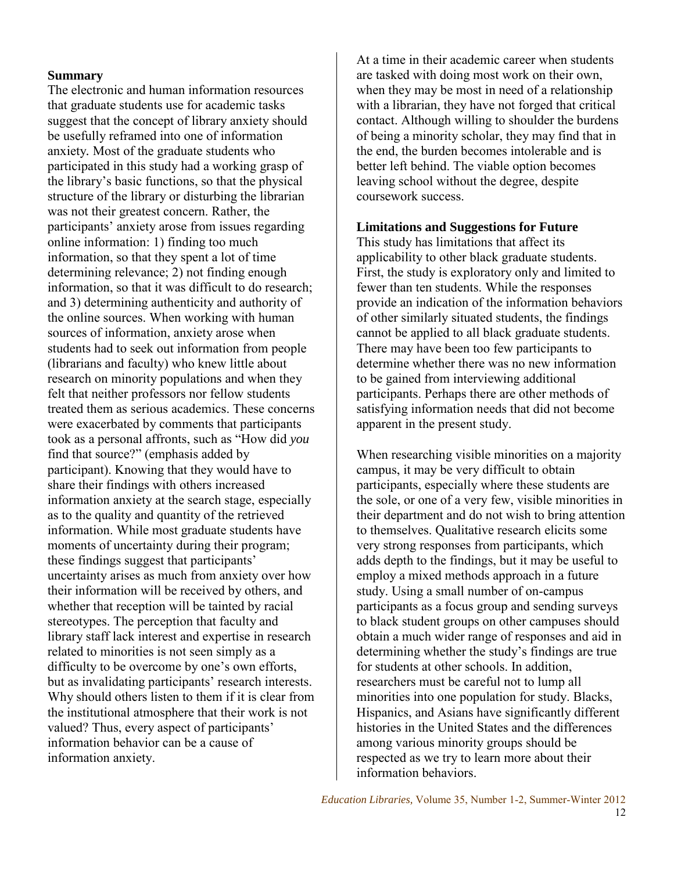#### **Summary**

The electronic and human information resources that graduate students use for academic tasks suggest that the concept of library anxiety should be usefully reframed into one of information anxiety*.* Most of the graduate students who participated in this study had a working grasp of the library's basic functions, so that the physical structure of the library or disturbing the librarian was not their greatest concern. Rather, the participants' anxiety arose from issues regarding online information: 1) finding too much information, so that they spent a lot of time determining relevance; 2) not finding enough information, so that it was difficult to do research; and 3) determining authenticity and authority of the online sources. When working with human sources of information, anxiety arose when students had to seek out information from people (librarians and faculty) who knew little about research on minority populations and when they felt that neither professors nor fellow students treated them as serious academics. These concerns were exacerbated by comments that participants took as a personal affronts, such as "How did *you*  find that source?" (emphasis added by participant). Knowing that they would have to share their findings with others increased information anxiety at the search stage, especially as to the quality and quantity of the retrieved information. While most graduate students have moments of uncertainty during their program; these findings suggest that participants' uncertainty arises as much from anxiety over how their information will be received by others, and whether that reception will be tainted by racial stereotypes. The perception that faculty and library staff lack interest and expertise in research related to minorities is not seen simply as a difficulty to be overcome by one's own efforts, but as invalidating participants' research interests. Why should others listen to them if it is clear from the institutional atmosphere that their work is not valued? Thus, every aspect of participants' information behavior can be a cause of information anxiety.

At a time in their academic career when students are tasked with doing most work on their own, when they may be most in need of a relationship with a librarian, they have not forged that critical contact. Although willing to shoulder the burdens of being a minority scholar, they may find that in the end, the burden becomes intolerable and is better left behind. The viable option becomes leaving school without the degree, despite coursework success.

# **Limitations and Suggestions for Future**

This study has limitations that affect its applicability to other black graduate students. First, the study is exploratory only and limited to fewer than ten students. While the responses provide an indication of the information behaviors of other similarly situated students, the findings cannot be applied to all black graduate students. There may have been too few participants to determine whether there was no new information to be gained from interviewing additional participants. Perhaps there are other methods of satisfying information needs that did not become apparent in the present study.

When researching visible minorities on a majority campus, it may be very difficult to obtain participants, especially where these students are the sole, or one of a very few, visible minorities in their department and do not wish to bring attention to themselves. Qualitative research elicits some very strong responses from participants, which adds depth to the findings, but it may be useful to employ a mixed methods approach in a future study. Using a small number of on-campus participants as a focus group and sending surveys to black student groups on other campuses should obtain a much wider range of responses and aid in determining whether the study's findings are true for students at other schools. In addition, researchers must be careful not to lump all minorities into one population for study. Blacks, Hispanics, and Asians have significantly different histories in the United States and the differences among various minority groups should be respected as we try to learn more about their information behaviors.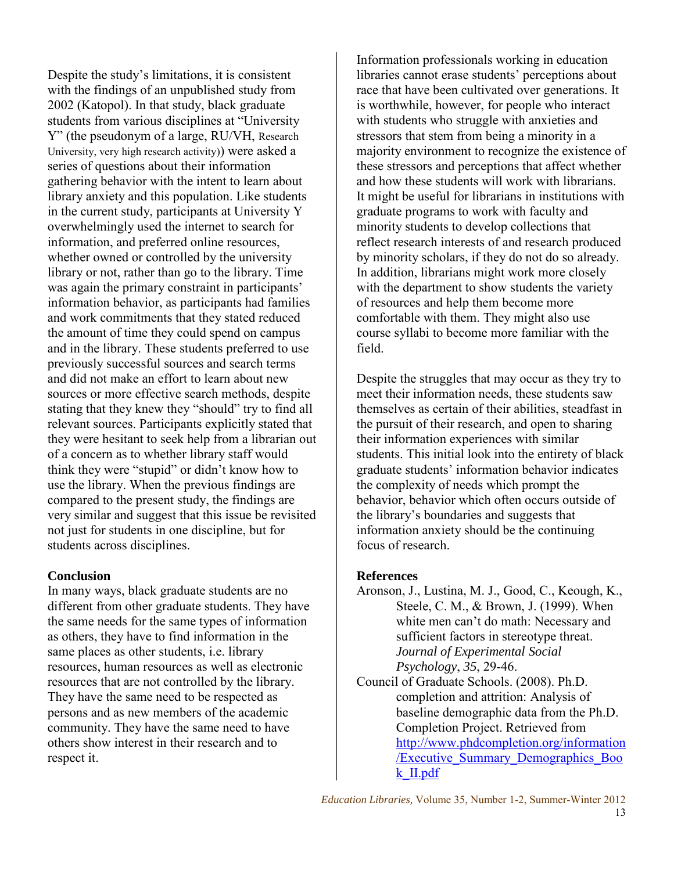Despite the study's limitations, it is consistent with the findings of an unpublished study from 2002 (Katopol). In that study, black graduate students from various disciplines at "University Y" (the pseudonym of a large, RU/VH, Research University, very high research activity)) were asked a series of questions about their information gathering behavior with the intent to learn about library anxiety and this population. Like students in the current study, participants at University Y overwhelmingly used the internet to search for information, and preferred online resources, whether owned or controlled by the university library or not, rather than go to the library. Time was again the primary constraint in participants' information behavior, as participants had families and work commitments that they stated reduced the amount of time they could spend on campus and in the library. These students preferred to use previously successful sources and search terms and did not make an effort to learn about new sources or more effective search methods, despite stating that they knew they "should" try to find all relevant sources. Participants explicitly stated that they were hesitant to seek help from a librarian out of a concern as to whether library staff would think they were "stupid" or didn't know how to use the library. When the previous findings are compared to the present study, the findings are very similar and suggest that this issue be revisited not just for students in one discipline, but for students across disciplines.

#### **Conclusion**

In many ways, black graduate students are no different from other graduate students. They have the same needs for the same types of information as others, they have to find information in the same places as other students, i.e. library resources, human resources as well as electronic resources that are not controlled by the library. They have the same need to be respected as persons and as new members of the academic community. They have the same need to have others show interest in their research and to respect it.

Information professionals working in education libraries cannot erase students' perceptions about race that have been cultivated over generations. It is worthwhile, however, for people who interact with students who struggle with anxieties and stressors that stem from being a minority in a majority environment to recognize the existence of these stressors and perceptions that affect whether and how these students will work with librarians. It might be useful for librarians in institutions with graduate programs to work with faculty and minority students to develop collections that reflect research interests of and research produced by minority scholars, if they do not do so already. In addition, librarians might work more closely with the department to show students the variety of resources and help them become more comfortable with them. They might also use course syllabi to become more familiar with the field.

Despite the struggles that may occur as they try to meet their information needs, these students saw themselves as certain of their abilities, steadfast in the pursuit of their research, and open to sharing their information experiences with similar students. This initial look into the entirety of black graduate students' information behavior indicates the complexity of needs which prompt the behavior, behavior which often occurs outside of the library's boundaries and suggests that information anxiety should be the continuing focus of research.

#### **References**

- [Aronson, J., Lustina, M. J., Good, C., Keough, K.,](http://www.reducingstereotypethreat.org/bibliography_aronson_lustina_good_keough_steele_brown.html)  [Steele, C. M., & Brown, J. \(1999\).](http://www.reducingstereotypethreat.org/bibliography_aronson_lustina_good_keough_steele_brown.html) When white men can't do math: Necessary and sufficient factors in stereotype threat. *Journal of Experimental Social Psychology*, *35*, 29-46.
- Council of Graduate Schools. (2008). Ph.D. completion and attrition: Analysis of baseline demographic data from the Ph.D. Completion Project. Retrieved from [http://www.phdcompletion.org/information](http://www.phdcompletion.org/information/Executive_Summary_Demographics_Book_II.pdf) [/Executive\\_Summary\\_Demographics\\_Boo](http://www.phdcompletion.org/information/Executive_Summary_Demographics_Book_II.pdf) [k\\_II.pdf](http://www.phdcompletion.org/information/Executive_Summary_Demographics_Book_II.pdf)